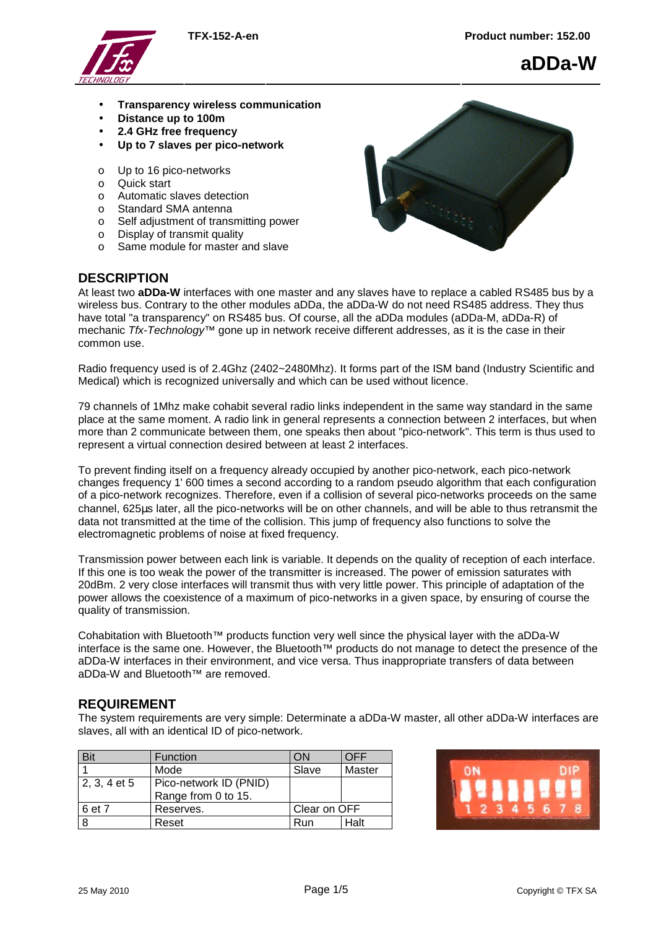

**aDDa-W**

- **Transparency wireless communication**
- **Distance up to 100m**
- **2.4 GHz free frequency**
- **Up to 7 slaves per pico-network**
- o Up to 16 pico-networks
- o Quick start
- o Automatic slaves detection
- o Standard SMA antenna
- o Self adjustment of transmitting power
- o Display of transmit quality
- o Same module for master and slave

## **DESCRIPTION**



At least two **aDDa-W** interfaces with one master and any slaves have to replace a cabled RS485 bus by a wireless bus. Contrary to the other modules aDDa, the aDDa-W do not need RS485 address. They thus have total "a transparency" on RS485 bus. Of course, all the aDDa modules (aDDa-M, aDDa-R) of mechanic Tfx-Technology<sup>™</sup> gone up in network receive different addresses, as it is the case in their common use.

Radio frequency used is of 2.4Ghz (2402~2480Mhz). It forms part of the ISM band (Industry Scientific and Medical) which is recognized universally and which can be used without licence.

79 channels of 1Mhz make cohabit several radio links independent in the same way standard in the same place at the same moment. A radio link in general represents a connection between 2 interfaces, but when more than 2 communicate between them, one speaks then about "pico-network". This term is thus used to represent a virtual connection desired between at least 2 interfaces.

To prevent finding itself on a frequency already occupied by another pico-network, each pico-network changes frequency 1' 600 times a second according to a random pseudo algorithm that each configuration of a pico-network recognizes. Therefore, even if a collision of several pico-networks proceeds on the same channel, 625µs later, all the pico-networks will be on other channels, and will be able to thus retransmit the data not transmitted at the time of the collision. This jump of frequency also functions to solve the electromagnetic problems of noise at fixed frequency.

Transmission power between each link is variable. It depends on the quality of reception of each interface. If this one is too weak the power of the transmitter is increased. The power of emission saturates with 20dBm. 2 very close interfaces will transmit thus with very little power. This principle of adaptation of the power allows the coexistence of a maximum of pico-networks in a given space, by ensuring of course the quality of transmission.

Cohabitation with Bluetooth<sup>™</sup> products function very well since the physical layer with the aDDa-W interface is the same one. However, the Bluetooth™ products do not manage to detect the presence of the aDDa-W interfaces in their environment, and vice versa. Thus inappropriate transfers of data between aDDa-W and Bluetooth™ are removed.

## **REQUIREMENT**

The system requirements are very simple: Determinate a aDDa-W master, all other aDDa-W interfaces are slaves, all with an identical ID of pico-network.

| <b>Bit</b>   | <b>Function</b>        | ΟN           | OFF    |
|--------------|------------------------|--------------|--------|
|              | Mode                   | Slave        | Master |
| 2, 3, 4 et 5 | Pico-network ID (PNID) |              |        |
|              | Range from 0 to 15.    |              |        |
| 6 et 7       | Reserves.              | Clear on OFF |        |
| 8            | Reset                  | Run          | Halt   |

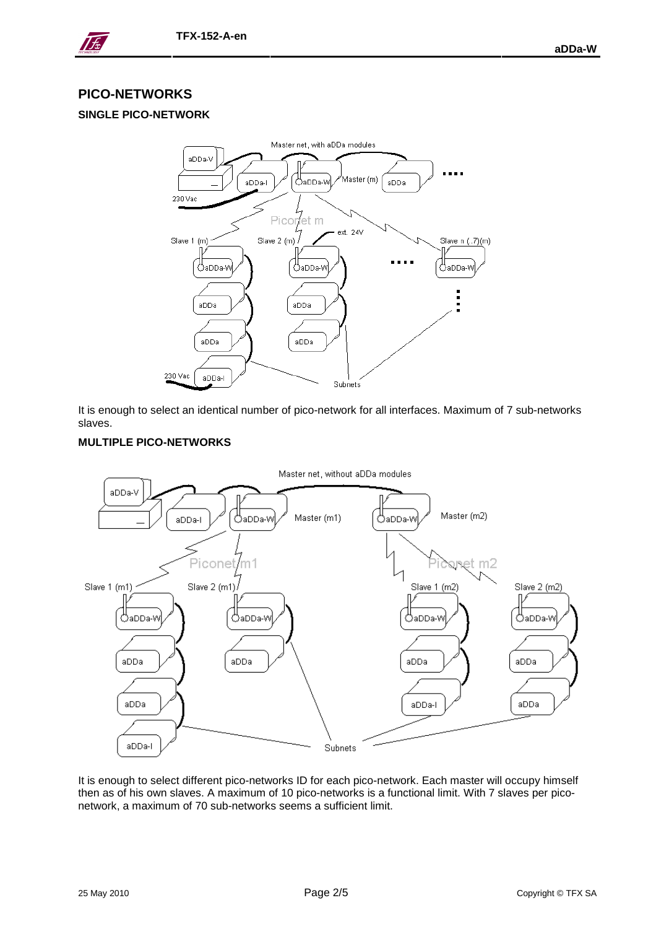

## **PICO-NETWORKS**

## **SINGLE PICO-NETWORK**



It is enough to select an identical number of pico-network for all interfaces. Maximum of 7 sub-networks slaves.

### **MULTIPLE PICO-NETWORKS**



It is enough to select different pico-networks ID for each pico-network. Each master will occupy himself then as of his own slaves. A maximum of 10 pico-networks is a functional limit. With 7 slaves per piconetwork, a maximum of 70 sub-networks seems a sufficient limit.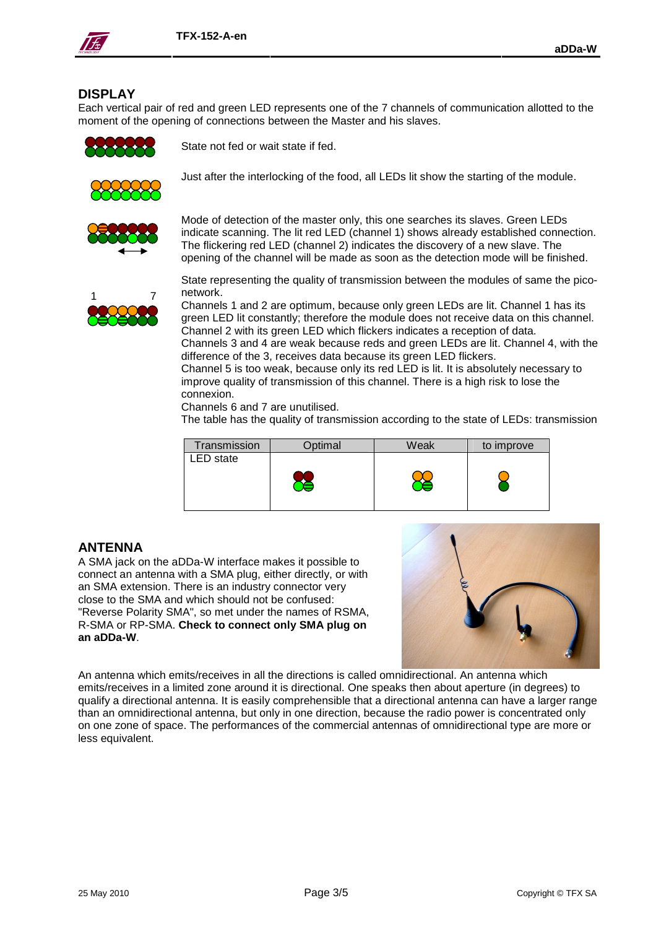

## **DISPLAY**

Each vertical pair of red and green LED represents one of the 7 channels of communication allotted to the moment of the opening of connections between the Master and his slaves.



State not fed or wait state if fed.





Mode of detection of the master only, this one searches its slaves. Green LEDs indicate scanning. The lit red LED (channel 1) shows already established connection. The flickering red LED (channel 2) indicates the discovery of a new slave. The opening of the channel will be made as soon as the detection mode will be finished.

Just after the interlocking of the food, all LEDs lit show the starting of the module.



State representing the quality of transmission between the modules of same the piconetwork.

Channels 1 and 2 are optimum, because only green LEDs are lit. Channel 1 has its green LED lit constantly; therefore the module does not receive data on this channel. Channel 2 with its green LED which flickers indicates a reception of data. Channels 3 and 4 are weak because reds and green LEDs are lit. Channel 4, with the difference of the 3, receives data because its green LED flickers.

Channel 5 is too weak, because only its red LED is lit. It is absolutely necessary to improve quality of transmission of this channel. There is a high risk to lose the connexion.

Channels 6 and 7 are unutilised.

The table has the quality of transmission according to the state of LEDs: transmission

| Transmission | Optimal | Weak | to improve |
|--------------|---------|------|------------|
| ED state     |         |      |            |
|              |         |      |            |

## **ANTENNA**

A SMA jack on the aDDa-W interface makes it possible to connect an antenna with a SMA plug, either directly, or with an SMA extension. There is an industry connector very close to the SMA and which should not be confused: "Reverse Polarity SMA", so met under the names of RSMA, R-SMA or RP-SMA. **Check to connect only SMA plug on an aDDa-W**.



An antenna which emits/receives in all the directions is called omnidirectional. An antenna which emits/receives in a limited zone around it is directional. One speaks then about aperture (in degrees) to qualify a directional antenna. It is easily comprehensible that a directional antenna can have a larger range than an omnidirectional antenna, but only in one direction, because the radio power is concentrated only on one zone of space. The performances of the commercial antennas of omnidirectional type are more or less equivalent.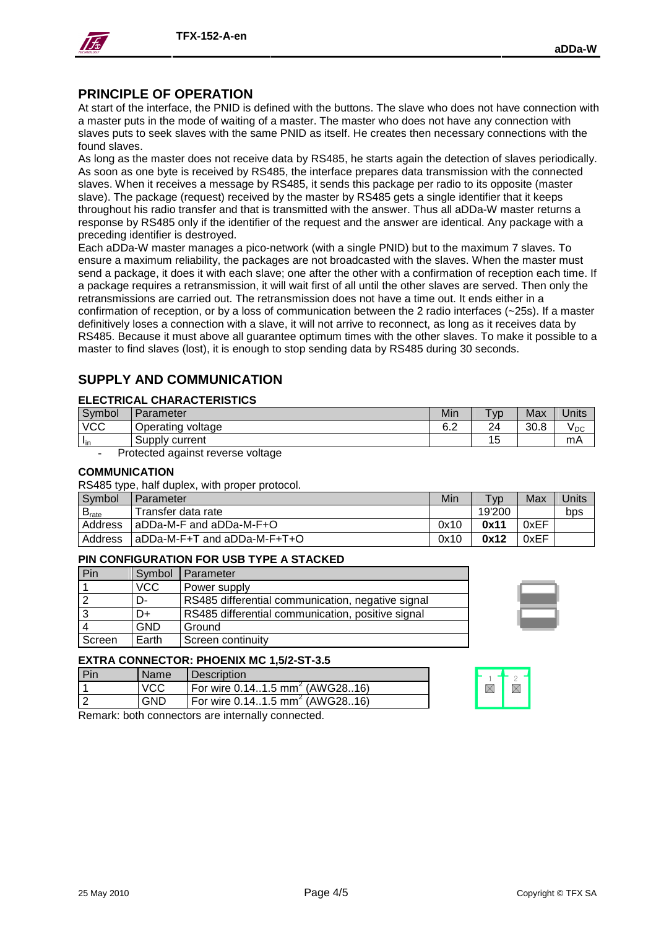

## **PRINCIPLE OF OPERATION**

At start of the interface, the PNID is defined with the buttons. The slave who does not have connection with a master puts in the mode of waiting of a master. The master who does not have any connection with slaves puts to seek slaves with the same PNID as itself. He creates then necessary connections with the found slaves.

As long as the master does not receive data by RS485, he starts again the detection of slaves periodically. As soon as one byte is received by RS485, the interface prepares data transmission with the connected slaves. When it receives a message by RS485, it sends this package per radio to its opposite (master slave). The package (request) received by the master by RS485 gets a single identifier that it keeps throughout his radio transfer and that is transmitted with the answer. Thus all aDDa-W master returns a response by RS485 only if the identifier of the request and the answer are identical. Any package with a preceding identifier is destroyed.

Each aDDa-W master manages a pico-network (with a single PNID) but to the maximum 7 slaves. To ensure a maximum reliability, the packages are not broadcasted with the slaves. When the master must send a package, it does it with each slave; one after the other with a confirmation of reception each time. If a package requires a retransmission, it will wait first of all until the other slaves are served. Then only the retransmissions are carried out. The retransmission does not have a time out. It ends either in a confirmation of reception, or by a loss of communication between the 2 radio interfaces (~25s). If a master definitively loses a connection with a slave, it will not arrive to reconnect, as long as it receives data by RS485. Because it must above all guarantee optimum times with the other slaves. To make it possible to a master to find slaves (lost), it is enough to stop sending data by RS485 during 30 seconds.

# **SUPPLY AND COMMUNICATION**

#### **ELECTRICAL CHARACTERISTICS**

| Symbol     | Parameter            | Min | $T_{VD}$  | Max  | Units           |
|------------|----------------------|-----|-----------|------|-----------------|
| <b>VCC</b> | voltage<br>Operating | 6.2 | 24        | 30.8 | V <sub>DC</sub> |
| "in        | Supply<br>current    |     | 1F<br>ت ' |      | mA              |

Protected against reverse voltage

#### **COMMUNICATION**

RS485 type, half duplex, with proper protocol.

| Symbol            | Parameter                       | Min  | T <sub>VD</sub> | Max  | Units |
|-------------------|---------------------------------|------|-----------------|------|-------|
| B <sub>rate</sub> | Transfer data rate              |      | 19'200          |      | bps   |
| Address           | aDDa-M-F and aDDa-M-F+O         | 0x10 | 0x11            | 0xEF |       |
| Address           | $ $ aDDa-M-F+T and aDDa-M-F+T+O | 0x10 | 0x12            | 0xEF |       |

### **PIN CONFIGURATION FOR USB TYPE A STACKED**

| Pin    | Symbol     | I Parameter                                       |
|--------|------------|---------------------------------------------------|
|        | <b>VCC</b> | Power supply                                      |
|        | D-         | RS485 differential communication, negative signal |
|        | D+         | RS485 differential communication, positive signal |
|        | <b>GND</b> | Ground                                            |
| Screen | Earth      | Screen continuity                                 |



 $\boxtimes$ 

 $\boxtimes$ 

### **EXTRA CONNECTOR: PHOENIX MC 1,5/2-ST-3.5**

| l Pin | <b>Name</b> | Description                                  |
|-------|-------------|----------------------------------------------|
|       | VCC         | For wire 0.141.5 mm <sup>2</sup> (AWG2816)   |
| l 2   | GND         | For wire $0.141.5$ mm <sup>2</sup> (AWG2816) |

Remark: both connectors are internally connected.